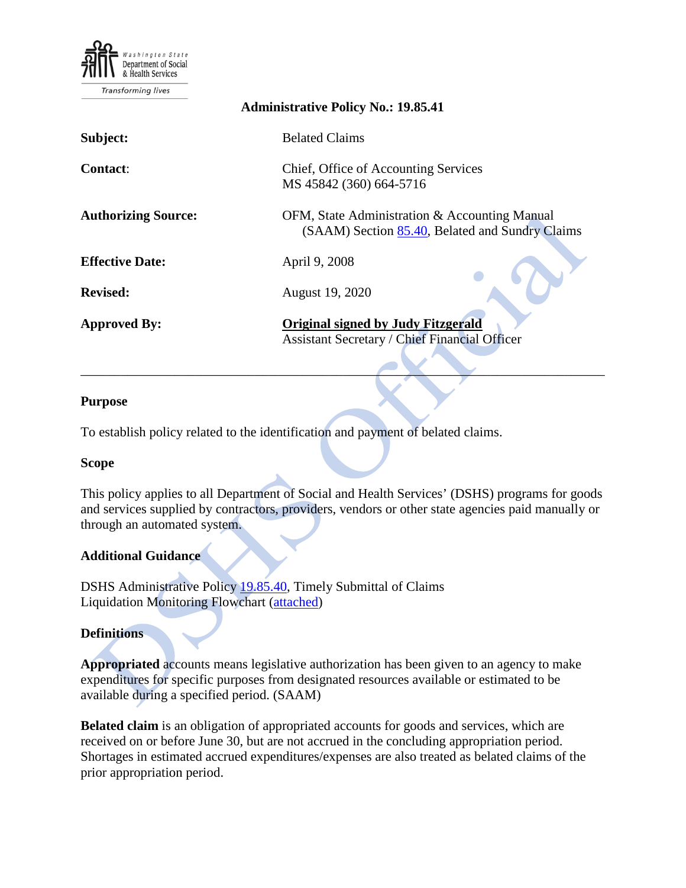

| <b>Administrative Policy No.: 19.85.41</b> |                                                                                                   |  |  |  |  |  |  |  |  |
|--------------------------------------------|---------------------------------------------------------------------------------------------------|--|--|--|--|--|--|--|--|
| Subject:                                   | <b>Belated Claims</b>                                                                             |  |  |  |  |  |  |  |  |
| <b>Contact:</b>                            | Chief, Office of Accounting Services<br>MS 45842 (360) 664-5716                                   |  |  |  |  |  |  |  |  |
| <b>Authorizing Source:</b>                 | OFM, State Administration & Accounting Manual<br>(SAAM) Section 85.40, Belated and Sundry Claims  |  |  |  |  |  |  |  |  |
| <b>Effective Date:</b>                     | April 9, 2008                                                                                     |  |  |  |  |  |  |  |  |
| <b>Revised:</b>                            | August 19, 2020                                                                                   |  |  |  |  |  |  |  |  |
| <b>Approved By:</b>                        | <b>Original signed by Judy Fitzgerald</b><br><b>Assistant Secretary / Chief Financial Officer</b> |  |  |  |  |  |  |  |  |

### **Purpose**

To establish policy related to the identification and payment of belated claims.

#### **Scope**

This policy applies to all Department of Social and Health Services' (DSHS) programs for goods and services supplied by contractors, providers, vendors or other state agencies paid manually or through an automated system.

\_\_\_\_\_\_\_\_\_\_\_\_\_\_\_\_\_\_\_\_\_\_\_\_\_\_\_\_\_\_\_\_\_\_\_\_\_\_\_\_\_\_\_\_\_\_\_\_\_\_\_\_\_\_\_\_\_\_\_\_\_\_\_\_\_\_\_\_\_\_\_\_\_\_\_\_\_\_

### **Additional Guidance**

DSHS Administrative Policy [19.85.40,](http://one.dshs.wa.lcl/Policies/Administrative/DSHS-AP-19-85-40.pdf) Timely Submittal of Claims Liquidation Monitoring Flowchart [\(attached\)](#page-4-0)

### **Definitions**

**Appropriated** accounts means legislative authorization has been given to an agency to make expenditures for specific purposes from designated resources available or estimated to be available during a specified period. (SAAM)

**Belated claim** is an obligation of appropriated accounts for goods and services, which are received on or before June 30, but are not accrued in the concluding appropriation period. Shortages in estimated accrued expenditures/expenses are also treated as belated claims of the prior appropriation period.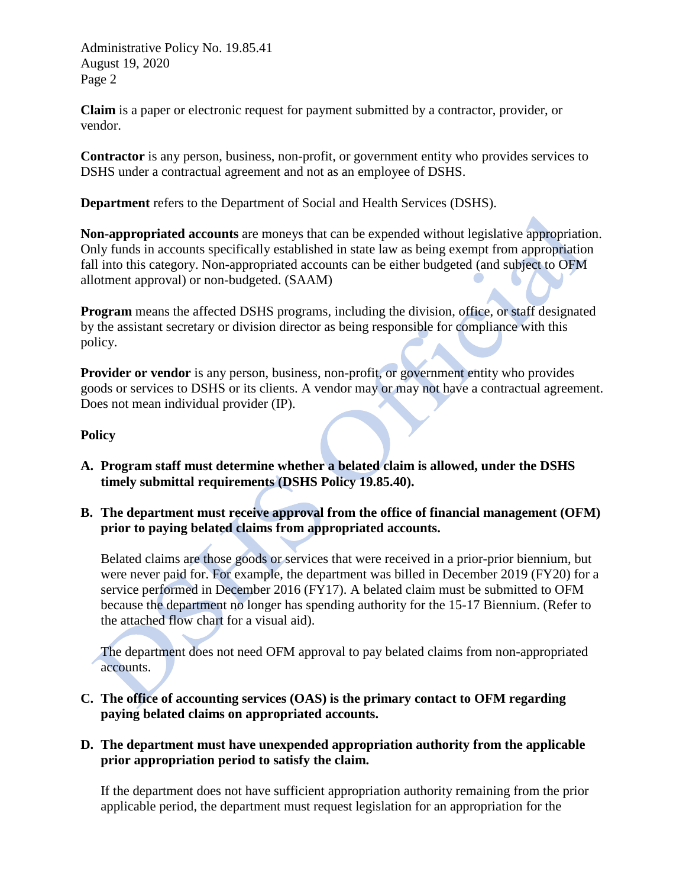Administrative Policy No. 19.85.41 August 19, 2020 Page 2

**Claim** is a paper or electronic request for payment submitted by a contractor, provider, or vendor.

**Contractor** is any person, business, non-profit, or government entity who provides services to DSHS under a contractual agreement and not as an employee of DSHS.

**Department** refers to the Department of Social and Health Services (DSHS).

**Non-appropriated accounts** are moneys that can be expended without legislative appropriation. Only funds in accounts specifically established in state law as being exempt from appropriation fall into this category. Non-appropriated accounts can be either budgeted (and subject to OFM allotment approval) or non-budgeted. (SAAM)

**Program** means the affected DSHS programs, including the division, office, or staff designated by the assistant secretary or division director as being responsible for compliance with this policy.

**Provider or vendor** is any person, business, non-profit, or government entity who provides goods or services to DSHS or its clients. A vendor may or may not have a contractual agreement. Does not mean individual provider (IP).

### **Policy**

- **A. Program staff must determine whether a belated claim is allowed, under the DSHS timely submittal requirements (DSHS Policy 19.85.40).**
- **B. The department must receive approval from the office of financial management (OFM) prior to paying belated claims from appropriated accounts.**

Belated claims are those goods or services that were received in a prior-prior biennium, but were never paid for. For example, the department was billed in December 2019 (FY20) for a service performed in December 2016 (FY17). A belated claim must be submitted to OFM because the department no longer has spending authority for the 15-17 Biennium. (Refer to the attached flow chart for a visual aid).

The department does not need OFM approval to pay belated claims from non-appropriated accounts.

**C. The office of accounting services (OAS) is the primary contact to OFM regarding paying belated claims on appropriated accounts.**

### **D. The department must have unexpended appropriation authority from the applicable prior appropriation period to satisfy the claim.**

If the department does not have sufficient appropriation authority remaining from the prior applicable period, the department must request legislation for an appropriation for the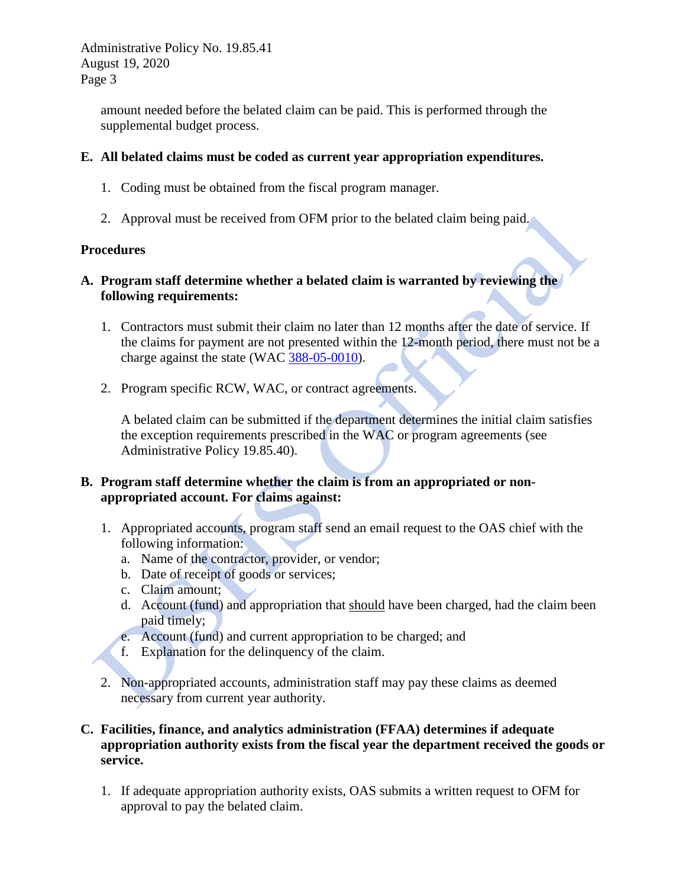Administrative Policy No. 19.85.41 August 19, 2020 Page 3

> amount needed before the belated claim can be paid. This is performed through the supplemental budget process.

### **E. All belated claims must be coded as current year appropriation expenditures.**

- 1. Coding must be obtained from the fiscal program manager.
- 2. Approval must be received from OFM prior to the belated claim being paid.

### **Procedures**

## **A. Program staff determine whether a belated claim is warranted by reviewing the following requirements:**

- 1. Contractors must submit their claim no later than 12 months after the date of service. If the claims for payment are not presented within the 12-month period, there must not be a charge against the state (WAC [388-05-0010\)](http://apps.leg.wa.gov/WAC/default.aspx?cite=388-05-0010).
- 2. Program specific RCW, WAC, or contract agreements.

A belated claim can be submitted if the department determines the initial claim satisfies the exception requirements prescribed in the WAC or program agreements (see Administrative Policy 19.85.40).

## **B. Program staff determine whether the claim is from an appropriated or nonappropriated account. For claims against:**

- 1. Appropriated accounts, program staff send an email request to the OAS chief with the following information:
	- a. Name of the contractor, provider, or vendor;
	- b. Date of receipt of goods or services;
	- c. Claim amount;
	- d. Account (fund) and appropriation that should have been charged, had the claim been paid timely;
	- e. Account (fund) and current appropriation to be charged; and
	- f. Explanation for the delinquency of the claim.
- 2. Non-appropriated accounts, administration staff may pay these claims as deemed necessary from current year authority.

## **C. Facilities, finance, and analytics administration (FFAA) determines if adequate appropriation authority exists from the fiscal year the department received the goods or service.**

1. If adequate appropriation authority exists, OAS submits a written request to OFM for approval to pay the belated claim.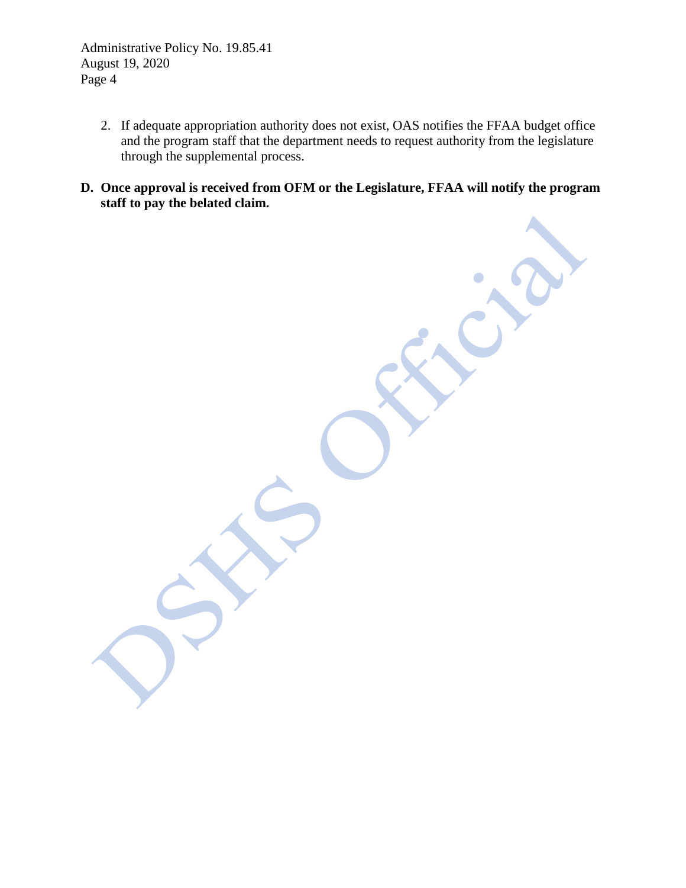Administrative Policy No. 19.85.41 August 19, 2020 Page 4

- 2. If adequate appropriation authority does not exist, OAS notifies the FFAA budget office and the program staff that the department needs to request authority from the legislature through the supplemental process.
- **D. Once approval is received from OFM or the Legislature, FFAA will notify the program staff to pay the belated claim.**